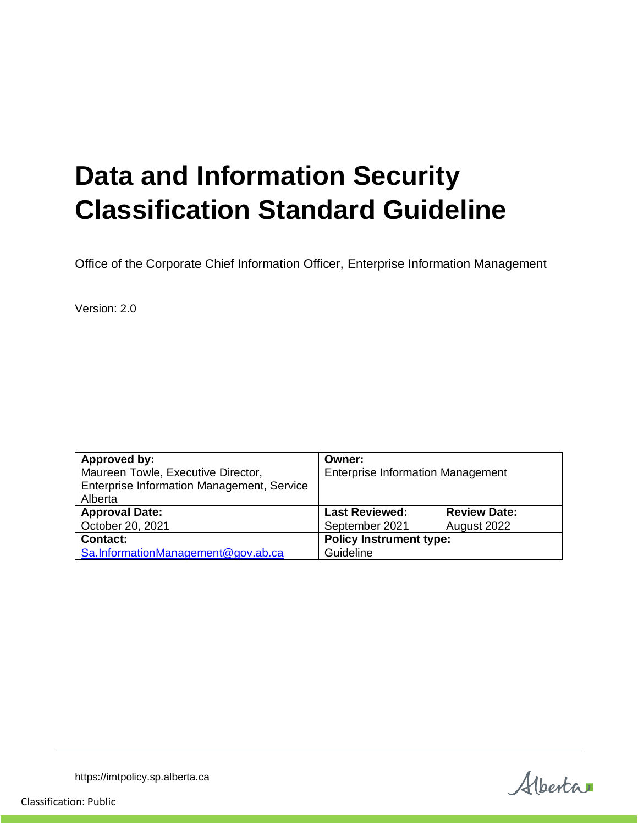# **Data and Information Security Classification Standard Guideline**

Office of the Corporate Chief Information Officer, Enterprise Information Management

Version: 2.0

| Approved by:                               | Owner:                                   |                     |
|--------------------------------------------|------------------------------------------|---------------------|
| Maureen Towle, Executive Director,         | <b>Enterprise Information Management</b> |                     |
| Enterprise Information Management, Service |                                          |                     |
| Alberta                                    |                                          |                     |
| <b>Approval Date:</b>                      | <b>Last Reviewed:</b>                    | <b>Review Date:</b> |
| October 20, 2021                           | September 2021                           | August 2022         |
| <b>Contact:</b>                            | <b>Policy Instrument type:</b>           |                     |
| Sa.InformationManagement@gov.ab.ca         | Guideline                                |                     |

Alberta

https://imtpolicy.sp.alberta.ca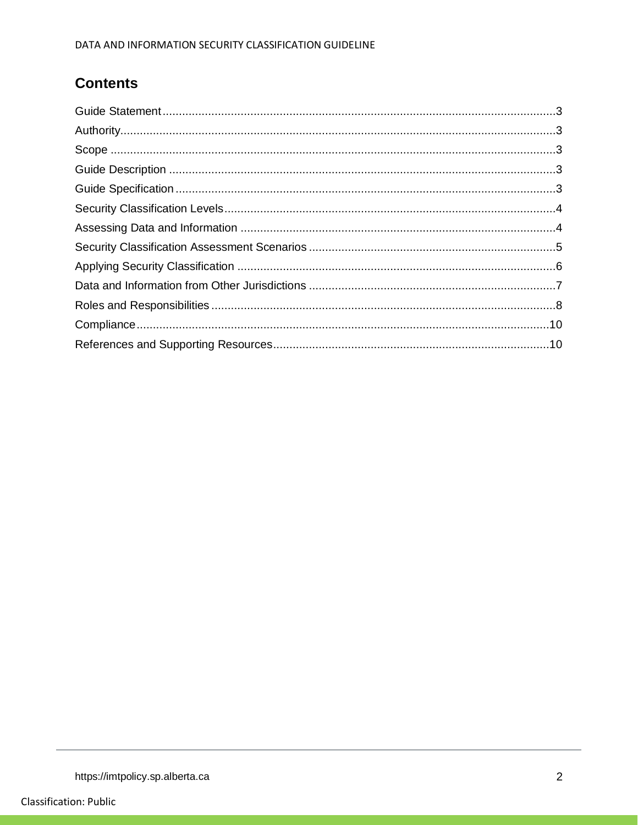# **Contents**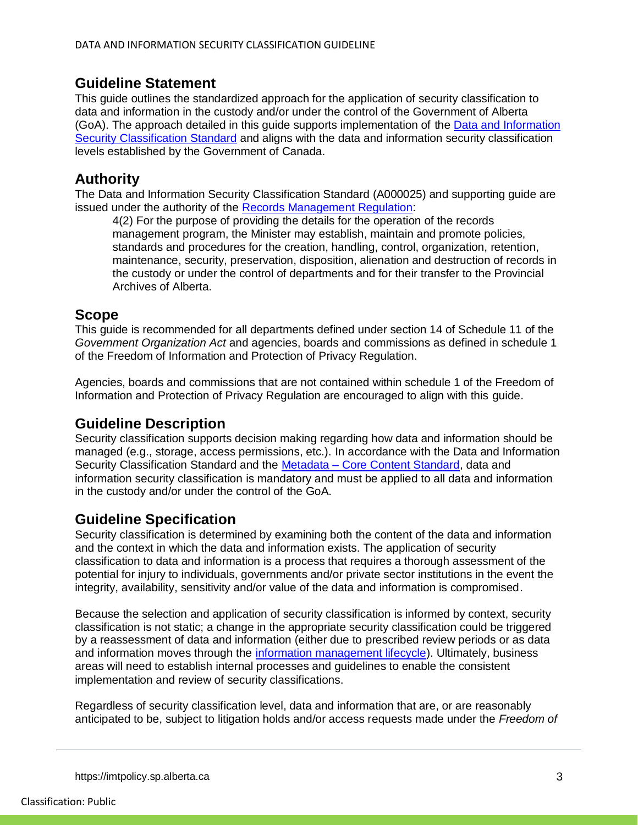## <span id="page-2-0"></span>**Guideline Statement**

This guide outlines the standardized approach for the application of security classification to data and information in the custody and/or under the control of the Government of Alberta (GoA). The approach detailed in this guide supports implementation of the [Data and Information](https://imtpolicy.sp.alberta.ca/standards/Pages/Data-and-Information-Security-Classification.aspx)  [Security Classification Standard](https://imtpolicy.sp.alberta.ca/standards/Pages/Data-and-Information-Security-Classification.aspx) and aligns with the data and information security classification levels established by the Government of Canada.

# <span id="page-2-1"></span>**Authority**

The Data and Information Security Classification Standard (A000025) and supporting guide are issued under the authority of the [Records Management Regulation:](http://www.qp.alberta.ca/documents/Regs/2001_224.pdf)

4(2) For the purpose of providing the details for the operation of the records management program, the Minister may establish, maintain and promote policies, standards and procedures for the creation, handling, control, organization, retention, maintenance, security, preservation, disposition, alienation and destruction of records in the custody or under the control of departments and for their transfer to the Provincial Archives of Alberta.

# <span id="page-2-2"></span>**Scope**

This guide is recommended for all departments defined under section 14 of Schedule 11 of the *Government Organization Act* and agencies, boards and commissions as defined in schedule 1 of the Freedom of Information and Protection of Privacy Regulation.

Agencies, boards and commissions that are not contained within schedule 1 of the Freedom of Information and Protection of Privacy Regulation are encouraged to align with this guide.

# <span id="page-2-3"></span>**Guideline Description**

Security classification supports decision making regarding how data and information should be managed (e.g., storage, access permissions, etc.). In accordance with the Data and Information Security Classification Standard and the Metadata – [Core Content Standard,](https://imtpolicy.sp.alberta.ca/standards/Pages/Metadata-Core-Content.aspx) data and information security classification is mandatory and must be applied to all data and information in the custody and/or under the control of the GoA.

# <span id="page-2-4"></span>**Guideline Specification**

Security classification is determined by examining both the content of the data and information and the context in which the data and information exists. The application of security classification to data and information is a process that requires a thorough assessment of the potential for injury to individuals, governments and/or private sector institutions in the event the integrity, availability, sensitivity and/or value of the data and information is compromised.

Because the selection and application of security classification is informed by context, security classification is not static; a change in the appropriate security classification could be triggered by a reassessment of data and information (either due to prescribed review periods or as data and information moves through the [information management lifecycle\)](https://www.alberta.ca/assets/documents/im-information-lifecycle.pdf). Ultimately, business areas will need to establish internal processes and guidelines to enable the consistent implementation and review of security classifications.

Regardless of security classification level, data and information that are, or are reasonably anticipated to be, subject to litigation holds and/or access requests made under the *Freedom of* 

https://imtpolicy.sp.alberta.ca 3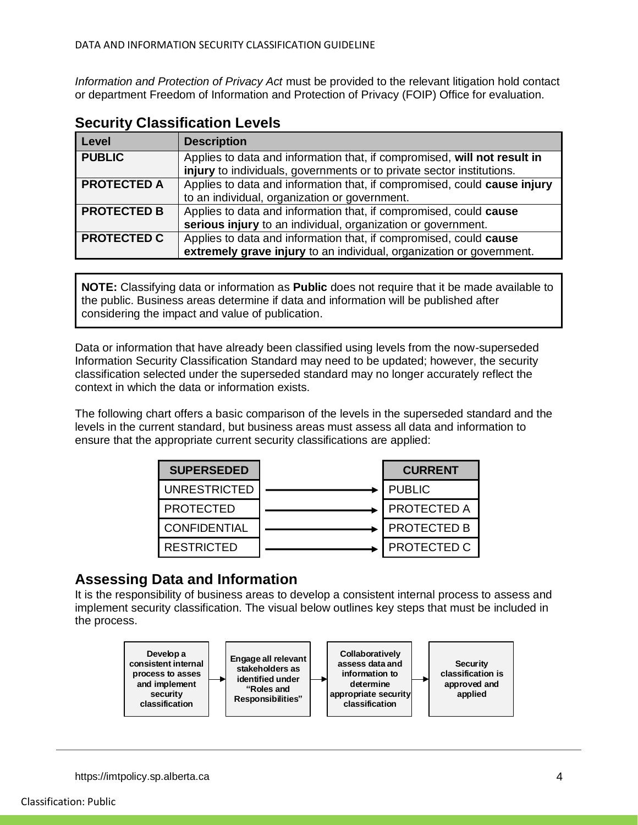*Information and Protection of Privacy Act* must be provided to the relevant litigation hold contact or department Freedom of Information and Protection of Privacy (FOIP) Office for evaluation.

| Level              | <b>Description</b>                                                                                                                                |
|--------------------|---------------------------------------------------------------------------------------------------------------------------------------------------|
| <b>PUBLIC</b>      | Applies to data and information that, if compromised, will not result in<br>injury to individuals, governments or to private sector institutions. |
| <b>PROTECTED A</b> | Applies to data and information that, if compromised, could cause injury<br>to an individual, organization or government.                         |
| <b>PROTECTED B</b> | Applies to data and information that, if compromised, could cause<br>serious injury to an individual, organization or government.                 |
| <b>PROTECTED C</b> | Applies to data and information that, if compromised, could cause<br>extremely grave injury to an individual, organization or government.         |

## <span id="page-3-0"></span>**Security Classification Levels**

**NOTE:** Classifying data or information as **Public** does not require that it be made available to the public. Business areas determine if data and information will be published after considering the impact and value of publication.

Data or information that have already been classified using levels from the now-superseded Information Security Classification Standard may need to be updated; however, the security classification selected under the superseded standard may no longer accurately reflect the context in which the data or information exists.

The following chart offers a basic comparison of the levels in the superseded standard and the levels in the current standard, but business areas must assess all data and information to ensure that the appropriate current security classifications are applied:

| <b>SUPERSEDED</b>   | <b>CURRENT</b>     |
|---------------------|--------------------|
| <b>UNRESTRICTED</b> | <b>PUBLIC</b>      |
| <b>PROTECTED</b>    | <b>PROTECTED A</b> |
| <b>CONFIDENTIAL</b> | <b>PROTECTED B</b> |
| <b>RESTRICTED</b>   | PROTECTED C        |

# <span id="page-3-1"></span>**Assessing Data and Information**

It is the responsibility of business areas to develop a consistent internal process to assess and implement security classification. The visual below outlines key steps that must be included in the process.

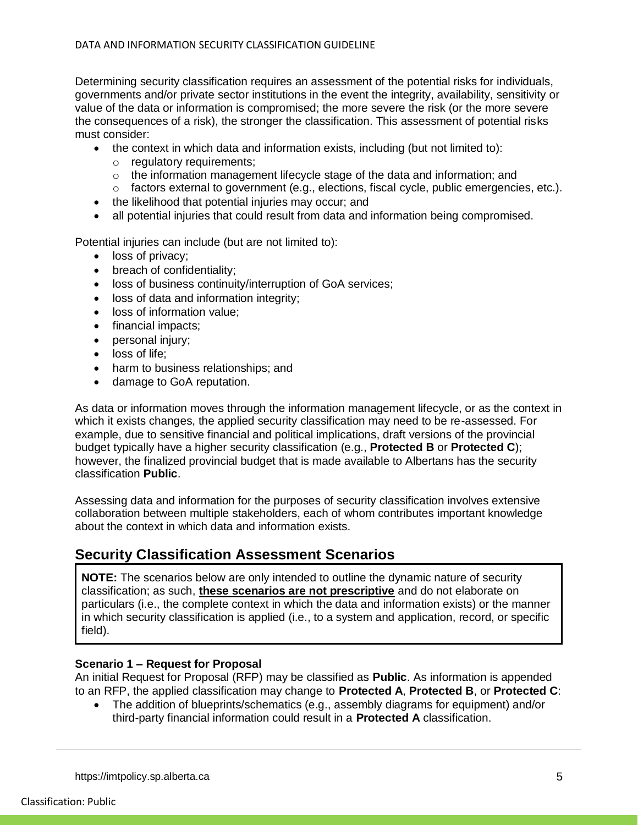Determining security classification requires an assessment of the potential risks for individuals, governments and/or private sector institutions in the event the integrity, availability, sensitivity or value of the data or information is compromised; the more severe the risk (or the more severe the consequences of a risk), the stronger the classification. This assessment of potential risks must consider:

- $\bullet$  the context in which data and information exists, including (but not limited to):
	- o regulatory requirements;
	- $\circ$  the information management lifecycle stage of the data and information; and
	- o factors external to government (e.g., elections, fiscal cycle, public emergencies, etc.).
- the likelihood that potential injuries may occur; and
- all potential injuries that could result from data and information being compromised.

Potential injuries can include (but are not limited to):

- loss of privacy;
- breach of confidentiality;
- loss of business continuity/interruption of GoA services;
- loss of data and information integrity;
- loss of information value:
- financial impacts;
- personal injury;
- loss of life;
- harm to business relationships; and
- damage to GoA reputation.

As data or information moves through the information management lifecycle, or as the context in which it exists changes, the applied security classification may need to be re-assessed. For example, due to sensitive financial and political implications, draft versions of the provincial budget typically have a higher security classification (e.g., **Protected B** or **Protected C**); however, the finalized provincial budget that is made available to Albertans has the security classification **Public**.

Assessing data and information for the purposes of security classification involves extensive collaboration between multiple stakeholders, each of whom contributes important knowledge about the context in which data and information exists.

## <span id="page-4-0"></span>**Security Classification Assessment Scenarios**

**NOTE:** The scenarios below are only intended to outline the dynamic nature of security classification; as such, **these scenarios are not prescriptive** and do not elaborate on particulars (i.e., the complete context in which the data and information exists) or the manner in which security classification is applied (i.e., to a system and application, record, or specific field).

#### **Scenario 1 – Request for Proposal**

An initial Request for Proposal (RFP) may be classified as **Public**. As information is appended to an RFP, the applied classification may change to **Protected A**, **Protected B**, or **Protected C**:

 The addition of blueprints/schematics (e.g., assembly diagrams for equipment) and/or third-party financial information could result in a **Protected A** classification.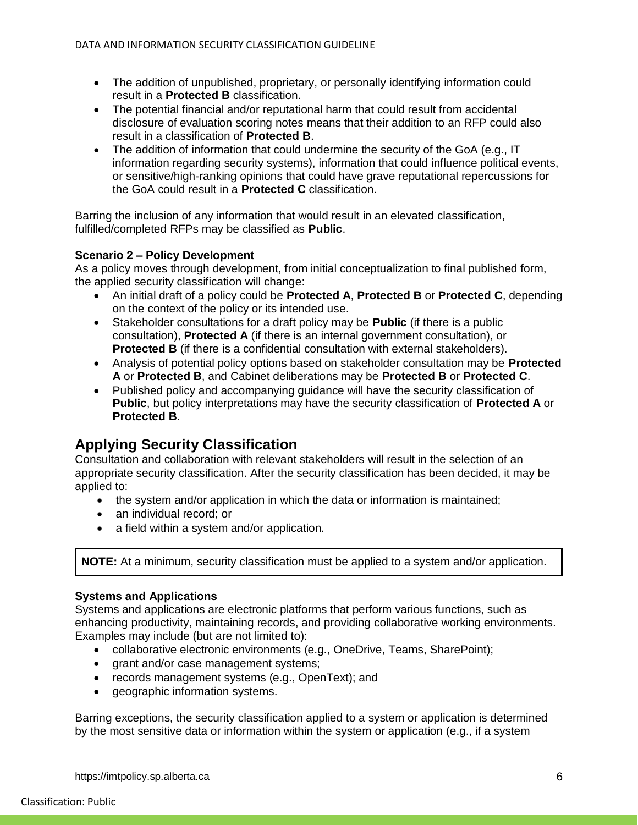- The addition of unpublished, proprietary, or personally identifying information could result in a **Protected B** classification.
- The potential financial and/or reputational harm that could result from accidental disclosure of evaluation scoring notes means that their addition to an RFP could also result in a classification of **Protected B**.
- The addition of information that could undermine the security of the GoA (e.g., IT information regarding security systems), information that could influence political events, or sensitive/high-ranking opinions that could have grave reputational repercussions for the GoA could result in a **Protected C** classification.

Barring the inclusion of any information that would result in an elevated classification, fulfilled/completed RFPs may be classified as **Public**.

### **Scenario 2 – Policy Development**

As a policy moves through development, from initial conceptualization to final published form, the applied security classification will change:

- An initial draft of a policy could be **Protected A**, **Protected B** or **Protected C**, depending on the context of the policy or its intended use.
- Stakeholder consultations for a draft policy may be **Public** (if there is a public consultation), **Protected A** (if there is an internal government consultation), or **Protected B** (if there is a confidential consultation with external stakeholders).
- Analysis of potential policy options based on stakeholder consultation may be **Protected A** or **Protected B**, and Cabinet deliberations may be **Protected B** or **Protected C**.
- Published policy and accompanying guidance will have the security classification of **Public**, but policy interpretations may have the security classification of **Protected A** or **Protected B**.

# <span id="page-5-0"></span>**Applying Security Classification**

Consultation and collaboration with relevant stakeholders will result in the selection of an appropriate security classification. After the security classification has been decided, it may be applied to:

- the system and/or application in which the data or information is maintained:
- an individual record; or
- a field within a system and/or application.

**NOTE:** At a minimum, security classification must be applied to a system and/or application.

## **Systems and Applications**

Systems and applications are electronic platforms that perform various functions, such as enhancing productivity, maintaining records, and providing collaborative working environments. Examples may include (but are not limited to):

- collaborative electronic environments (e.g., OneDrive, Teams, SharePoint);
- grant and/or case management systems;
- records management systems (e.g., OpenText); and
- geographic information systems.

Barring exceptions, the security classification applied to a system or application is determined by the most sensitive data or information within the system or application (e.g., if a system

https://imtpolicy.sp.alberta.ca 6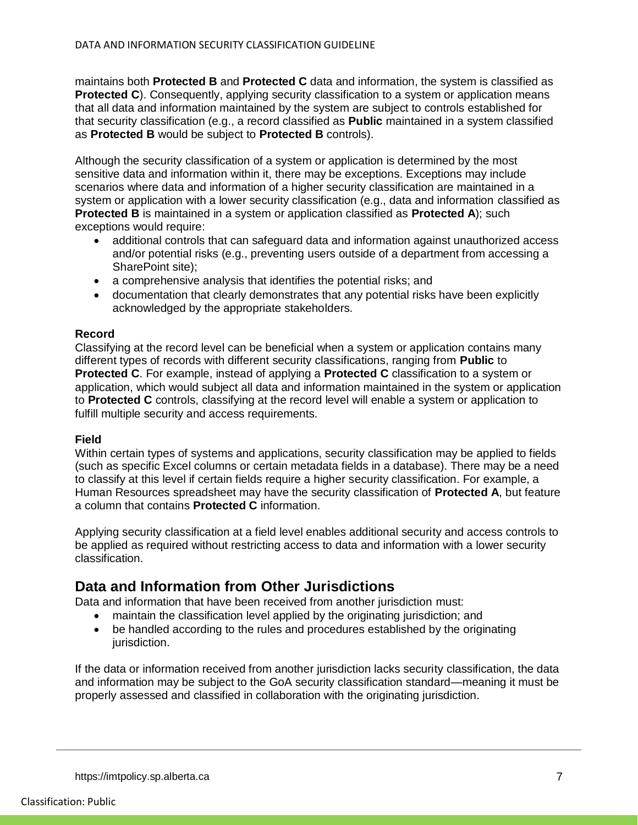maintains both **Protected B** and **Protected C** data and information, the system is classified as **Protected C**). Consequently, applying security classification to a system or application means that all data and information maintained by the system are subject to controls established for that security classification (e.g., a record classified as **Public** maintained in a system classified as **Protected B** would be subject to **Protected B** controls).

Although the security classification of a system or application is determined by the most sensitive data and information within it, there may be exceptions. Exceptions may include scenarios where data and information of a higher security classification are maintained in a system or application with a lower security classification (e.g., data and information classified as **Protected B** is maintained in a system or application classified as **Protected A**); such exceptions would require:

- additional controls that can safeguard data and information against unauthorized access and/or potential risks (e.g., preventing users outside of a department from accessing a SharePoint site);
- a comprehensive analysis that identifies the potential risks; and
- documentation that clearly demonstrates that any potential risks have been explicitly acknowledged by the appropriate stakeholders.

#### **Record**

Classifying at the record level can be beneficial when a system or application contains many different types of records with different security classifications, ranging from **Public** to **Protected C**. For example, instead of applying a **Protected C** classification to a system or application, which would subject all data and information maintained in the system or application to **Protected C** controls, classifying at the record level will enable a system or application to fulfill multiple security and access requirements.

#### **Field**

Within certain types of systems and applications, security classification may be applied to fields (such as specific Excel columns or certain metadata fields in a database). There may be a need to classify at this level if certain fields require a higher security classification. For example, a Human Resources spreadsheet may have the security classification of **Protected A**, but feature a column that contains **Protected C** information.

Applying security classification at a field level enables additional security and access controls to be applied as required without restricting access to data and information with a lower security classification.

## <span id="page-6-0"></span>**Data and Information from Other Jurisdictions**

Data and information that have been received from another jurisdiction must:

- maintain the classification level applied by the originating jurisdiction; and
- be handled according to the rules and procedures established by the originating jurisdiction.

<span id="page-6-1"></span>If the data or information received from another jurisdiction lacks security classification, the data and information may be subject to the GoA security classification standard—meaning it must be properly assessed and classified in collaboration with the originating jurisdiction.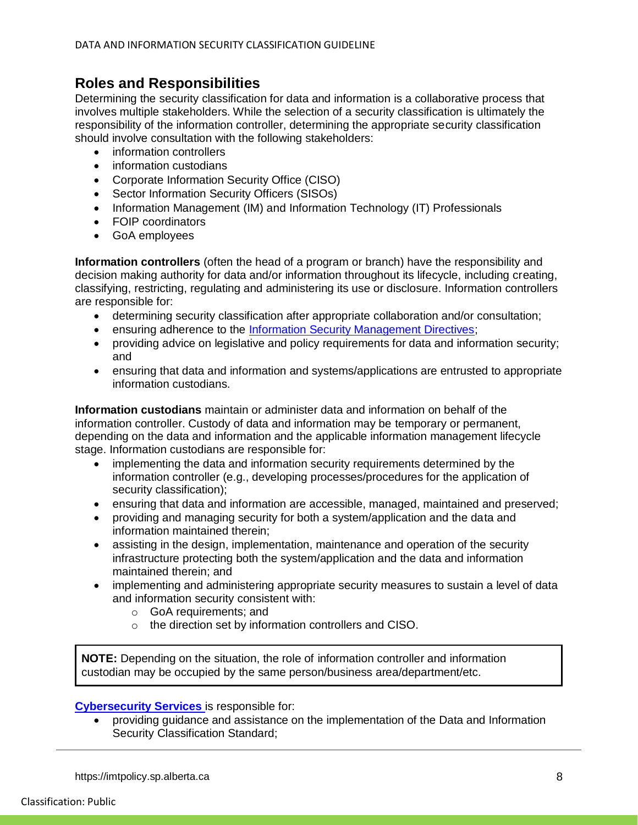## **Roles and Responsibilities**

Determining the security classification for data and information is a collaborative process that involves multiple stakeholders. While the selection of a security classification is ultimately the responsibility of the information controller, determining the appropriate security classification should involve consultation with the following stakeholders:

- information controllers
- information custodians
- Corporate Information Security Office (CISO)
- Sector Information Security Officers (SISOs)
- Information Management (IM) and Information Technology (IT) Professionals
- FOIP coordinators
- GoA employees

**Information controllers** (often the head of a program or branch) have the responsibility and decision making authority for data and/or information throughout its lifecycle, including creating, classifying, restricting, regulating and administering its use or disclosure. Information controllers are responsible for:

- determining security classification after appropriate collaboration and/or consultation;
- **EXECTE:** ensuring adherence to the Information Security Management Directives:
- providing advice on legislative and policy requirements for data and information security; and
- ensuring that data and information and systems/applications are entrusted to appropriate information custodians.

**Information custodians** maintain or administer data and information on behalf of the information controller. Custody of data and information may be temporary or permanent, depending on the data and information and the applicable information management lifecycle stage. Information custodians are responsible for:

- implementing the data and information security requirements determined by the information controller (e.g., developing processes/procedures for the application of security classification);
- ensuring that data and information are accessible, managed, maintained and preserved;
- providing and managing security for both a system/application and the data and information maintained therein;
- assisting in the design, implementation, maintenance and operation of the security infrastructure protecting both the system/application and the data and information maintained therein; and
- implementing and administering appropriate security measures to sustain a level of data and information security consistent with:
	- o GoA requirements; and
	- o the direction set by information controllers and CISO.

**NOTE:** Depending on the situation, the role of information controller and information custodian may be occupied by the same person/business area/department/etc.

#### **Cybersecurity Services** is responsible for:

 providing guidance and assistance on the implementation of the Data and Information Security Classification Standard;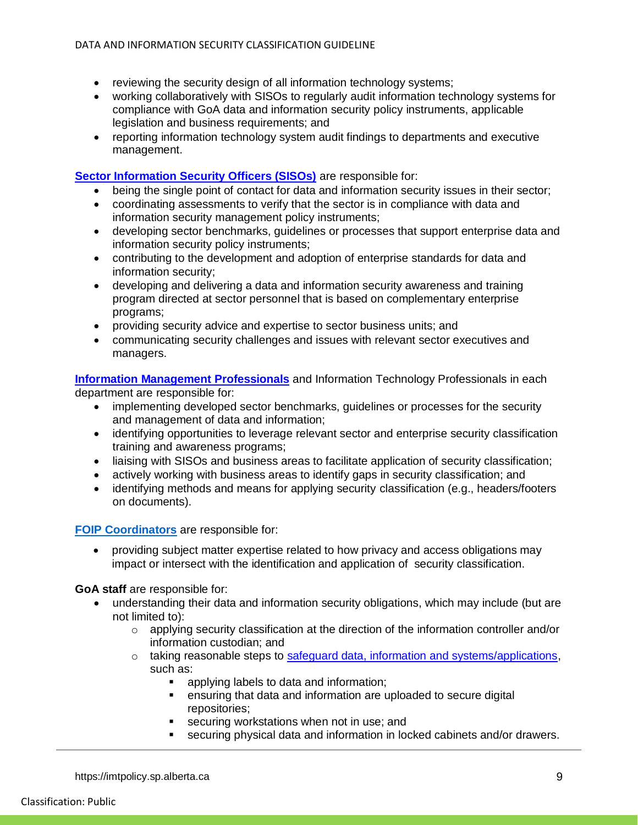- reviewing the security design of all information technology systems;
- working collaboratively with SISOs to regularly audit information technology systems for compliance with GoA data and information security policy instruments, applicable legislation and business requirements; and
- reporting information technology system audit findings to departments and executive management.

#### **[Sector Information Security Officers \(SISOs\)](http://www.servicelink.gov.ab.ca/security/MinistryInformationSecurityOfficers.cfm)** are responsible for:

- being the single point of contact for data and information security issues in their sector;
- coordinating assessments to verify that the sector is in compliance with data and information security management policy instruments;
- developing sector benchmarks, guidelines or processes that support enterprise data and information security policy instruments;
- contributing to the development and adoption of enterprise standards for data and information security;
- developing and delivering a data and information security awareness and training program directed at sector personnel that is based on complementary enterprise programs;
- providing security advice and expertise to sector business units; and
- communicating security challenges and issues with relevant sector executives and managers.

**[Information Management Professionals](https://www.alberta.ca/assets/documents/IM-SRO-List.pdf)** and Information Technology Professionals in each department are responsible for:

- implementing developed sector benchmarks, guidelines or processes for the security and management of data and information;
- identifying opportunities to leverage relevant sector and enterprise security classification training and awareness programs;
- liaising with SISOs and business areas to facilitate application of security classification;
- actively working with business areas to identify gaps in security classification; and
- identifying methods and means for applying security classification (e.g., headers/footers on documents).

#### **[FOIP Coordinators](https://www.servicealberta.ca/foip/find-a-foip-office.cfm)** are responsible for:

 providing subject matter expertise related to how privacy and access obligations may impact or intersect with the identification and application of security classification.

#### **GoA staff** are responsible for:

- understanding their data and information security obligations, which may include (but are not limited to):
	- $\circ$  applying security classification at the direction of the information controller and/or information custodian; and
	- $\circ$  taking reasonable steps to [safeguard data, information and systems/applications,](https://open.alberta.ca/publications/safeguarding-government-information) such as:
		- applying labels to data and information;
		- ensuring that data and information are uploaded to secure digital repositories;
		- securing workstations when not in use; and
		- securing physical data and information in locked cabinets and/or drawers.